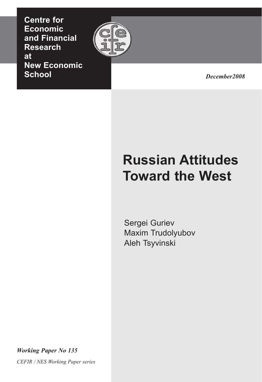**Centre for Economic and Financial Research at New Economic School**



December2008 *December2008*

# **Russian Attitudes Toward the West**

Sergei Guriev Maxim Trudolyubov Aleh Tsyvinski

*Working Paper -o 135*

*CEFIR / -ES Working Paper series*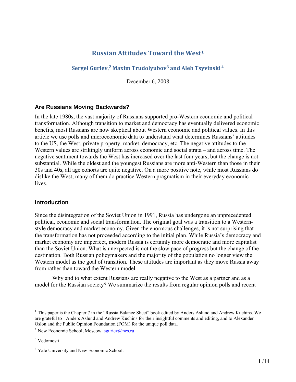# **Russian Attitudes Toward the West1**

# **Sergei Guriev, <sup>2</sup> Maxim Trudolyubov3 and Aleh Tsyvinski <sup>4</sup>**

December 6, 2008

# **Are Russians Moving Backwards?**

In the late 1980s, the vast majority of Russians supported pro-Western economic and political transformation. Although transition to market and democracy has eventually delivered economic benefits, most Russians are now skeptical about Western economic and political values. In this article we use polls and microeconomic data to understand what determines Russians' attitudes to the US, the West, private property, market, democracy, etc. The negative attitudes to the Western values are strikingly uniform across economic and social strata – and across time. The negative sentiment towards the West has increased over the last four years, but the change is not substantial. While the oldest and the youngest Russians are more anti-Western than those in their 30s and 40s, all age cohorts are quite negative. On a more positive note, while most Russians do dislike the West, many of them do practice Western pragmatism in their everyday economic lives.

#### **Introduction**

Since the disintegration of the Soviet Union in 1991, Russia has undergone an unprecedented political, economic and social transformation. The original goal was a transition to a Westernstyle democracy and market economy. Given the enormous challenges, it is not surprising that the transformation has not proceeded according to the initial plan. While Russia's democracy and market economy are imperfect, modern Russia is certainly more democratic and more capitalist than the Soviet Union. What is unexpected is not the slow pace of progress but the change of the destination. Both Russian policymakers and the majority of the population no longer view the Western model as the goal of transition. These attitudes are important as they move Russia away from rather than toward the Western model.

Why and to what extent Russians are really negative to the West as a partner and as a model for the Russian society? We summarize the results from regular opinion polls and recent

1

<sup>&</sup>lt;sup>1</sup> This paper is the Chapter 7 in the "Russia Balance Sheet" book edited by Anders Aslund and Andrew Kuchins. We are grateful to Anders Aslund and Andrew Kuchins for their insightful comments and editing, and to Alexander Oslon and the Public Opinion Foundation (FOM) for the unique poll data.

<sup>&</sup>lt;sup>2</sup> New Economic School, Moscow. sguriev@nes.ru

<sup>3</sup> Vedomosti

<sup>4</sup> Yale University and New Economic School.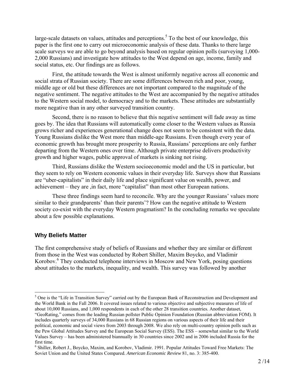large-scale datasets on values, attitudes and perceptions.<sup>5</sup> To the best of our knowledge, this paper is the first one to carry out microeconomic analysis of these data. Thanks to there large scale surveys we are able to go beyond analysis based on regular opinion polls (surveying 1,000- 2,000 Russians) and investigate how attitudes to the West depend on age, income, family and social status, etc. Our findings are as follows.

First, the attitude towards the West is almost uniformly negative across all economic and social strata of Russian society. There are some differences between rich and poor, young, middle age or old but these differences are not important compared to the magnitude of the negative sentiment. The negative attitudes to the West are accompanied by the negative attitudes to the Western social model, to democracy and to the markets. These attitudes are substantially more negative than in any other surveyed transition country.

Second, there is no reason to believe that this negative sentiment will fade away as time goes by. The idea that Russians will automatically come closer to the Western values as Russia grows richer and experiences generational change does not seem to be consistent with the data. Young Russians dislike the West more than middle-age Russians. Even though every year of economic growth has brought more prosperity to Russia, Russians' perceptions are only further departing from the Western ones over time. Although private enterprise delivers productivity growth and higher wages, public approval of markets is sinking not rising.

Third, Russians dislike the Western socioeconomic model and the US in particular, but they seem to rely on Western economic values in their everyday life. Surveys show that Russians are "uber-capitalists" in their daily life and place significant value on wealth, power, and achievement – they are ,in fact, more "capitalist" than most other European nations.

These three findings seem hard to reconcile. Why are the younger Russians' values more similar to their grandparents' than their parents'? How can the negative attitude to Western society co-exist with the everyday Western pragmatism? In the concluding remarks we speculate about a few possible explanations.

#### **Why Beliefs Matter**

 $\overline{a}$ 

The first comprehensive study of beliefs of Russians and whether they are similar or different from those in the West was conducted by Robert Shiller, Maxim Boycko, and Vladimir Korobov.<sup>6</sup> They conducted telephone interviews in Moscow and New York, posing questions about attitudes to the markets, inequality, and wealth. This survey was followed by another

<sup>&</sup>lt;sup>5</sup> One is the "Life in Transition Survey" carried out by the European Bank of Reconstruction and Development and the World Bank in the Fall 2006. It covered issues related to various objective and subjective measures of life of about 10,000 Russians, and 1,000 respondents in each of the other 28 transition countries. Another dataset, "GeoRating," comes from the leading Russian pollster Public Opinion Foundation (Russian abbreviation FOM). It includes quarterly surveys of 34,000 Russians in 68 Russian regions on various aspects of their life and their political, economic and social views from 2003 through 2008. We also rely on multi-country opinion polls such as the Pew Global Attitudes Survey and the European Social Survey (ESS). The ESS – somewhat similar to the World Values Survey – has been administered biannually in 30 countries since 2002 and in 2006 included Russia for the first time.

<sup>&</sup>lt;sup>6</sup> Shiller, Robert J., Boycko, Maxim, and Korobov, Vladimir. 1991. Popular Attitudes Toward Free Markets: The Soviet Union and the United States Compared. *American Economic Review* 81, no. 3: 385-400.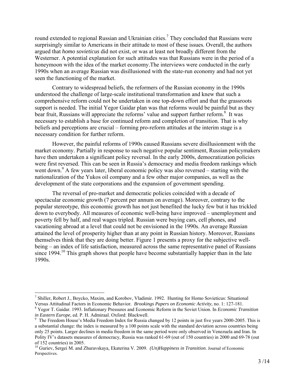round extended to regional Russian and Ukrainian cities.<sup>7</sup> They concluded that Russians were surprisingly similar to Americans in their attitude to most of these issues. Overall, the authors argued that *homo sovieticus* did not exist, or was at least not broadly different from the Westerner. A potential explanation for such attitudes was that Russians were in the period of a honeymoon with the idea of the market economy.The interviews were conducted in the early 1990s when an average Russian was disillusioned with the state-run economy and had not yet seen the functioning of the market.

Contrary to widespread beliefs, the reformers of the Russian economy in the 1990s understood the challenge of large-scale institutional transformation and knew that such a comprehensive reform could not be undertaken in one top-down effort and that the grassroots support is needed. The initial Yegor Gaidar plan was that reforms would be painful but as they bear fruit, Russians will appreciate the reforms' value and support further reform.<sup>8</sup> It was necessary to establish a base for continued reform and completion of transition. That is why beliefs and perceptions are crucial – forming pro-reform attitudes at the interim stage is a necessary condition for further reform.

However, the painful reforms of 1990s caused Russians severe disillusionment with the market economy. Partially in response to such negative popular sentiment, Russian policymakers have then undertaken a significant policy reversal. In the early 2000s, democratization policies were first reversed. This can be seen in Russia's democracy and media freedom rankings which went down.<sup>9</sup> A few years later, liberal economic policy was also reversed – starting with the nationalization of the Yukos oil company and a few other major companies, as well as the development of the state corporations and the expansion of government spending.

The reversal of pro-market and democratic policies coincided with a decade of spectacular economic growth (7 percent per annum on average). Moreover, contrary to the popular stereotype, this economic growth has not just benefited the lucky few but it has trickled down to everybody. All measures of economic well-being have improved – unemployment and poverty fell by half, and real wages tripled. Russian were buying cars, cell phones, and vacationing abroad at a level that could not be envisioned in the 1990s. An average Russian attained the level of prosperity higher than at any point in Russian history. Moreover, Russians themselves think that they are doing better. Figure 1 presents a proxy for the subjective wellbeing – an index of life satisfaction, measured across the same representative panel of Russians since 1994.<sup>10</sup> This graph shows that people have become substantially happier than in the late 1990s.

<sup>&</sup>lt;sup>7</sup> Shiller, Robert J., Boycko, Maxim, and Korobov, Vladimir. 1992. Hunting for Homo Sovieticus: Situational Versus Attitudinal Factors in Economic Behavior*. Brookings Papers on Economic Activity,* no. 1: 127-181. 8

Yegor T. Gaidar. 1993. Inflationary Pressures and Economic Reform in the Soviet Union. In *Economic Transition* 

<sup>&</sup>lt;sup>9</sup> The Freedom House's Media Freedom Index for Russia changed by 12 points in just five years 2000-2005. This is a substantial change: the index is measured by a 100 points scale with the standard deviation across countries being only 25 points. Larger declines in media freedom in the same period were only observed in Venezuela and Iran. In Polity IV's datasets measures of democracy, Russia was ranked 61-69 (out of 150 countries) in 2000 and 69-78 (out of 152 countries) in 2005.

<sup>10</sup> Guriev, Sergei M. and Zhuravskaya, Ekaterina V. 2009. *(Un)Happiness in Transition*. Journal of Economic Perspectives.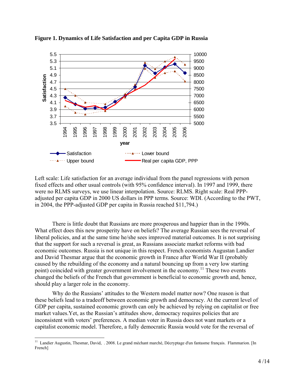

**Figure 1. Dynamics of Life Satisfaction and per Capita GDP in Russia** 

Left scale: Life satisfaction for an average individual from the panel regressions with person fixed effects and other usual controls (with 95% confidence interval). In 1997 and 1999, there were no RLMS surveys, we use linear interpolation. Source: RLMS. Right scale: Real PPPadjusted per capita GDP in 2000 US dollars in PPP terms. Source: WDI. (According to the PWT, in 2004, the PPP-adjusted GDP per capita in Russia reached \$11,794.)

There is little doubt that Russians are more prosperous and happier than in the 1990s. What effect does this new prosperity have on beliefs? The average Russian sees the reversal of liberal policies, and at the same time he/she sees improved material outcomes. It is not surprising that the support for such a reversal is great, as Russians associate market reforms with bad economic outcomes. Russia is not unique in this respect. French economists Augustan Landier and David Thesmar argue that the economic growth in France after World War II (probably caused by the rebuilding of the economy and a natural bouncing up from a very low starting point) coincided with greater government involvement in the economy.<sup>11</sup> These two events changed the beliefs of the French that government is beneficial to economic growth and, hence, should play a larger role in the economy.

Why do the Russians' attitudes to the Western model matter now? One reason is that these beliefs lead to a tradeoff between economic growth and democracy. At the current level of GDP per capita, sustained economic growth can only be achieved by relying on capitalist or free market values.Yet, as the Russian's attitudes show, democracy requires policies that are inconsistent with voters' preferences. A median voter in Russia does not want markets or a capitalist economic model. Therefore, a fully democratic Russia would vote for the reversal of

 $\overline{a}$ <sup>11</sup> Landier Augustin, Thesmar, David, . 2008. Le grand méchant marché, Décryptage d'un fantasme français. Flammarion. [In French]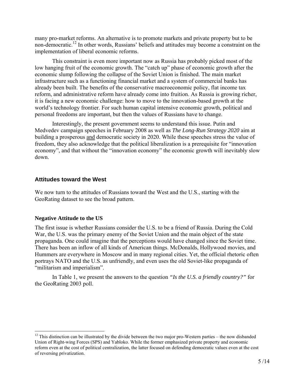many pro-market reforms. An alternative is to promote markets and private property but to be non-democratic.<sup>12</sup> In other words, Russians' beliefs and attitudes may become a constraint on the implementation of liberal economic reforms.

This constraint is even more important now as Russia has probably picked most of the low hanging fruit of the economic growth. The "catch up" phase of economic growth after the economic slump following the collapse of the Soviet Union is finished. The main market infrastructure such as a functioning financial market and a system of commercial banks has already been built. The benefits of the conservative macroeconomic policy, flat income tax reform, and administrative reform have already come into fruition. As Russia is growing richer, it is facing a new economic challenge: how to move to the innovation-based growth at the world's technology frontier. For such human capital intensive economic growth, political and personal freedoms are important, but then the values of Russians have to change.

Interestingly, the present government seems to understand this issue. Putin and Medvedev campaign speeches in February 2008 as well as *The Long-Run Strategy 2020* aim at building a prosperous and democratic society in 2020. While these speeches stress the value of freedom, they also acknowledge that the political liberalization is a prerequisite for "innovation economy", and that without the "innovation economy" the economic growth will inevitably slow down.

#### **Attitudes toward the West**

We now turn to the attitudes of Russians toward the West and the U.S., starting with the GeoRating dataset to see the broad pattern.

#### **Negative Attitude to the US**

1

The first issue is whether Russians consider the U.S. to be a friend of Russia. During the Cold War, the U.S. was the primary enemy of the Soviet Union and the main object of the state propaganda. One could imagine that the perceptions would have changed since the Soviet time. There has been an inflow of all kinds of American things. McDonalds, Hollywood movies, and Hummers are everywhere in Moscow and in many regional cities. Yet, the official rhetoric often portrays NATO and the U.S. as unfriendly, and even uses the old Soviet-like propaganda of "militarism and imperialism".

In Table 1, we present the answers to the question *"Is the U.S. a friendly country?"* for the GeoRating 2003 poll.

 $12$  This distinction can be illustrated by the divide between the two major pro-Western parties – the now disbanded Union of Right-wing Forces (SPS) and Yabloko. While the former emphasized private property and economic reform even at the cost of political centralization, the latter focused on defending democratic values even at the cost of reversing privatization.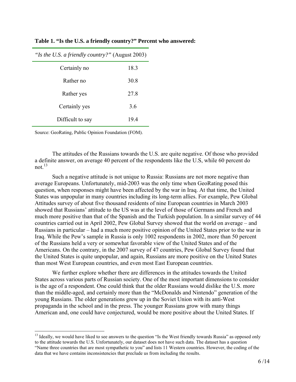| "Is the U.S. a friendly country?" (August 2003) |      |
|-------------------------------------------------|------|
| Certainly no                                    | 18.3 |
| Rather no                                       | 30.8 |
| Rather yes                                      | 27.8 |
| Certainly yes                                   | 3.6  |
| Difficult to say                                | 194  |

**Table 1. "Is the U.S. a friendly country?" Percent who answered:** 

Source: GeoRating, Public Opinion Foundation (FOM).

 $\overline{a}$ 

The attitudes of the Russians towards the U.S. are quite negative. Of those who provided a definite answer, on average 40 percent of the respondents like the U.S, while 60 percent do not $13$ 

Such a negative attitude is not unique to Russia: Russians are not more negative than average Europeans. Unfortunately, mid-2003 was the only time when GeoRating posed this question, when responses might have been affected by the war in Iraq. At that time, the United States was unpopular in many countries including its long-term allies. For example, Pew Global Attitudes survey of about five thousand residents of nine European countries in March 2003 showed that Russians' attitude to the US was at the level of those of Germans and French and much more positive than that of the Spanish and the Turkish population. In a similar survey of 44 countries carried out in April 2002, Pew Global Survey showed that the world on average – and Russians in particular – had a much more positive opinion of the United States prior to the war in Iraq. While the Pew's sample in Russia is only 1002 respondents in 2002, more than 50 percent of the Russians held a very or somewhat favorable view of the United States and of the Americans. On the contrary, in the 2007 survey of 47 countries, Pew Global Survey found that the United States is quite unpopular, and again, Russians are more positive on the United States than most West European countries, and even most East European countries.

We further explore whether there are differences in the attitudes towards the United States across various parts of Russian society. One of the most important dimensions to consider is the age of a respondent. One could think that the older Russians would dislike the U.S. more than the middle-aged, and certainly more than the "McDonalds and Nintendo" generation of the young Russians. The older generations grew up in the Soviet Union with its anti-West propaganda in the school and in the press. The younger Russians grow with many things American and, one could have conjectured, would be more positive about the United States. If

 $<sup>13</sup>$  Ideally, we would have liked to see answers to the question "Is the West friendly towards Russia" as opposed only</sup> to the attitude towards the U.S. Unfortunately, our dataset does not have such data. The dataset has a question "Name three countries that are most sympathetic to you" and lists 11 Western countries. However, the coding of the data that we have contains inconsistencies that preclude us from including the results.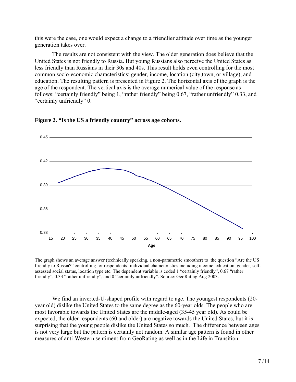this were the case, one would expect a change to a friendlier attitude over time as the younger generation takes over.

The results are not consistent with the view. The older generation does believe that the United States is not friendly to Russia. But young Russians also perceive the United States as less friendly than Russians in their 30s and 40s. This result holds even controlling for the most common socio-economic characteristics: gender, income, location (city,town, or village), and education. The resulting pattern is presented in Figure 2. The horizontal axis of the graph is the age of the respondent. The vertical axis is the average numerical value of the response as follows: "certainly friendly" being 1, "rather friendly" being 0.67, "rather unfriendly" 0.33, and "certainly unfriendly" 0.





The graph shows an average answer (technically speaking, a non-parametric smoother) to the question "Are the US friendly to Russia?" controlling for respondents' individual characteristics including income, education, gender, selfassessed social status, location type etc. The dependent variable is coded 1 "certainly friendly", 0.67 "rather friendly", 0.33 "rather unfriendly", and 0 "certainly unfriendly". Source: GeoRating Aug 2003.

We find an inverted-U-shaped profile with regard to age. The youngest respondents (20 year old) dislike the United States to the same degree as the 60-year olds. The people who are most favorable towards the United States are the middle-aged (35-45 year old). As could be expected, the older respondents (60 and older) are negative towards the United States, but it is surprising that the young people dislike the United States so much. The difference between ages is not very large but the pattern is certainly not random. A similar age pattern is found in other measures of anti-Western sentiment from GeoRating as well as in the Life in Transition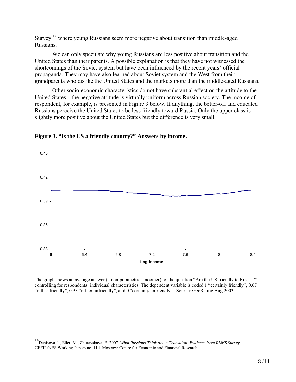Survey,14 where young Russians seem more negative about transition than middle-aged Russians.

We can only speculate why young Russians are less positive about transition and the United States than their parents. A possible explanation is that they have not witnessed the shortcomings of the Soviet system but have been influenced by the recent years' official propaganda. They may have also learned about Soviet system and the West from their grandparents who dislike the United States and the markets more than the middle-aged Russians.

Other socio-economic characteristics do not have substantial effect on the attitude to the United States – the negative attitude is virtually uniform across Russian society. The income of respondent, for example, is presented in Figure 3 below. If anything, the better-off and educated Russians perceive the United States to be less friendly toward Russia. Only the upper class is slightly more positive about the United States but the difference is very small.



#### **Figure 3. "Is the US a friendly country?" Answers by income.**

The graph shows an average answer (a non-parametric smoother) to the question "Are the US friendly to Russia?" controlling for respondents' individual characteristics. The dependent variable is coded 1 "certainly friendly", 0.67 "rather friendly", 0.33 "rather unfriendly", and 0 "certainly unfriendly". Source: GeoRating Aug 2003.

 $\overline{a}$ 

<sup>14</sup>Denisova, I., Eller, M., Zhuravskaya, E. 2007. *What Russians Think about Transition: Evidence from RLMS Survey.* CEFIR/NES Working Papers no. 114. Moscow: Centre for Economic and Financial Research.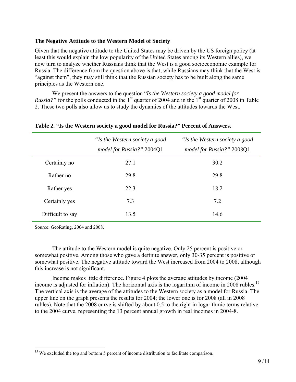# **The Negative Attitude to the Western Model of Society**

Given that the negative attitude to the United States may be driven by the US foreign policy (at least this would explain the low popularity of the United States among its Western allies), we now turn to analyze whether Russians think that the West is a good socioeconomic example for Russia. The difference from the question above is that, while Russians may think that the West is "against them", they may still think that the Russian society has to be built along the same principles as the Western one.

We present the answers to the question "*Is the Western society a good model for Russia?*" for the polls conducted in the 1<sup>st</sup> quarter of 2004 and in the 1<sup>st</sup> quarter of 2008 in Table 2. These two polls also allow us to study the dynamics of the attitudes towards the West.

|                  | "Is the Western society a good<br>model for Russia?" 2004Q1 | "Is the Western society a good<br>model for Russia?" 2008Q1 |
|------------------|-------------------------------------------------------------|-------------------------------------------------------------|
| Certainly no     | 27.1                                                        | 30.2                                                        |
| Rather no        | 29.8                                                        | 29.8                                                        |
| Rather yes       | 22.3                                                        | 18.2                                                        |
| Certainly yes    | 7.3                                                         | 7.2                                                         |
| Difficult to say | 13.5                                                        | 14.6                                                        |

# **Table 2. "Is the Western society a good model for Russia?" Percent of Answers.**

Source: GeoRating, 2004 and 2008.

1

 The attitude to the Western model is quite negative. Only 25 percent is positive or somewhat positive. Among those who gave a definite answer, only 30-35 percent is positive or somewhat positive. The negative attitude toward the West increased from 2004 to 2008, although this increase is not significant.

Income makes little difference. Figure 4 plots the average attitudes by income (2004 income is adjusted for inflation). The horizontal axis is the logarithm of income in 2008 rubles.<sup>15</sup> The vertical axis is the average of the attitudes to the Western society as a model for Russia. The upper line on the graph presents the results for 2004; the lower one is for 2008 (all in 2008 rubles). Note that the 2008 curve is shifted by about 0.5 to the right in logarithmic terms relative to the 2004 curve, representing the 13 percent annual growth in real incomes in 2004-8.

<sup>&</sup>lt;sup>15</sup> We excluded the top and bottom 5 percent of income distribution to facilitate comparison.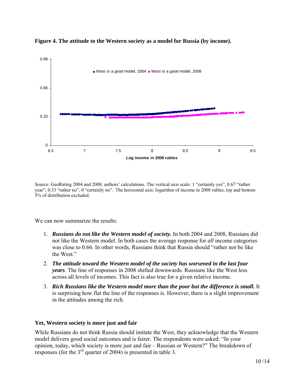

**Figure 4. The attitude to the Western society as a model for Russia (by income).** 

Source: GeoRating 2004 and 2008, authors' calculations. The vertical axis scale: 1 "certainly yes", 0.67 "rather year", 0.33 "rather no", 0 "certainly no". The horizontal axis: logarithm of income in 2008 rubles, top and bottom 5% of distribution excluded.

We can now summarize the results:

- 1. *Russians do not like the Western model of society.* In both 2004 and 2008, Russians did not like the Western model. In both cases the average response for *all* income categories was close to 0.66. In other words, Russians think that Russia should "rather not be like the West."
- 2. *The attitude toward the Western model of the society has worsened in the last four years*. The line of responses in 2008 shifted downwards. Russians like the West less across all levels of incomes. This fact is also true for a given relative income.
- 3. *Rich Russians like the Western model more than the poor but the difference is small.* It is surprising how flat the line of the responses is. However, there is a slight improvement in the attitudes among the rich.

# **Yet, Western society is more just and fair**

While Russians do not think Russia should imitate the West, they acknowledge that the Western model delivers good social outcomes and is fairer. The respondents were asked: "In your opinion, today, which society is more just and fair – Russian or Western?" The breakdown of responses (for the  $3<sup>rd</sup>$  quarter of 2004) is presented in table 3.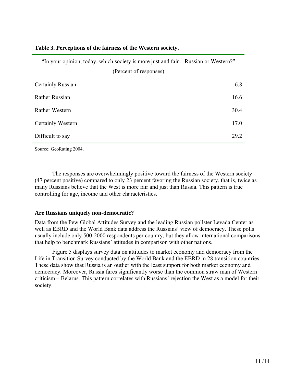| "In your opinion, today, which society is more just and fair – Russian or Western?" |      |  |
|-------------------------------------------------------------------------------------|------|--|
| (Percent of responses)                                                              |      |  |
| Certainly Russian                                                                   | 6.8  |  |
| <b>Rather Russian</b>                                                               | 16.6 |  |
| <b>Rather Western</b>                                                               | 30.4 |  |
| Certainly Western                                                                   | 17.0 |  |
| Difficult to say                                                                    | 29.2 |  |

#### **Table 3. Perceptions of the fairness of the Western society.**

Source: GeoRating 2004.

The responses are overwhelmingly positive toward the fairness of the Western society (47 percent positive) compared to only 23 percent favoring the Russian society, that is, twice as many Russians believe that the West is more fair and just than Russia. This pattern is true controlling for age, income and other characteristics.

#### **Are Russians uniquely non-democratic?**

Data from the Pew Global Attitudes Survey and the leading Russian pollster Levada Center as well as EBRD and the World Bank data address the Russians' view of democracy. These polls usually include only 500-2000 respondents per country, but they allow international comparisons that help to benchmark Russians' attitudes in comparison with other nations.

Figure 5 displays survey data on attitudes to market economy and democracy from the Life in Transition Survey conducted by the World Bank and the EBRD in 28 transition countries. These data show that Russia is an outlier with the least support for both market economy and democracy. Moreover, Russia fares significantly worse than the common straw man of Western criticism – Belarus. This pattern correlates with Russians' rejection the West as a model for their society.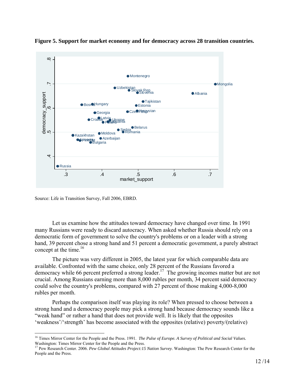

**Figure 5. Support for market economy and for democracy across 28 transition countries.** 

Source: Life in Transition Survey, Fall 2006, EBRD.

 $\overline{a}$ 

Let us examine how the attitudes toward democracy have changed over time. In 1991 many Russians were ready to discard autocracy. When asked whether Russia should rely on a democratic form of government to solve the country's problems or on a leader with a strong hand, 39 percent chose a strong hand and 51 percent a democratic government, a purely abstract concept at the time. $16$ 

The picture was very different in 2005, the latest year for which comparable data are available. Confronted with the same choice, only 28 percent of the Russians favored a democracy while 66 percent preferred a strong leader.<sup>17</sup> The growing incomes matter but are not crucial. Among Russians earning more than 8,000 rubles per month, 34 percent said democracy could solve the country's problems, compared with 27 percent of those making 4,000-8,000 rubles per month.

Perhaps the comparison itself was playing its role? When pressed to choose between a strong hand and a democracy people may pick a strong hand because democracy sounds like a "weak hand" or rather a hand that does not provide well. It is likely that the opposites 'weakness'/'strength' has become associated with the opposites (relative) poverty/(relative)

<sup>&</sup>lt;sup>16</sup> Times Mirror Center for the People and the Press. 1991. *The Pulse of Europe. A Survey of Political and Social Values.* Washington: Times Mirror Center for the People and the Press.<br><sup>17</sup> Pew Research Center. 2006. *Pew Global Attitudes Project:15 Nation Survey*. Washington: The Pew Research Center for the

People and the Press.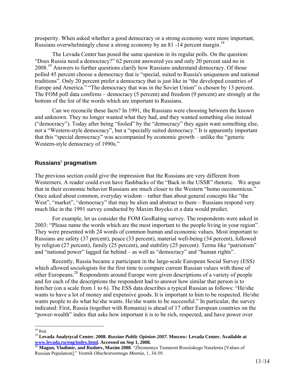prosperity. When asked whether a good democracy or a strong economy were more important, Russians overwhelmingly chose a strong economy by an 81 -14 percent margin.<sup>18</sup>

The Levada Center has posed the same question in its regular polls. On the question: "Does Russia need a democracy?" 62 percent answered yes and only 20 percent said no in 2008.<sup>19</sup> Answers to further questions clarify how Russians understand democracy. Of those polled 45 percent choose a democracy that is "special, suited to Russia's uniqueness and national traditions". Only 20 percent prefer a democracy that is just like in "the developed countries of Europe and America." "The democracy that was in the Soviet Union" is chosen by 13 percent. The FOM poll data confirms – democracy (5 percent) and freedom (9 percent) are strongly at the bottom of the list of the words which are important to Russians.

Can we reconcile these facts? In 1991, the Russians were choosing between the known and unknown. They no longer wanted what they had, and they wanted something else instead ("democracy"). Today after being "fooled" by the "democracy" they again want something else, not a "Western-style democracy", but a "specially suited democracy." It is apparently important that this "special democracy" was accompanied by economic growth – unlike the "generic Western-style democracy of 1990s."

# **Russians' pragmatism**

The previous section could give the impression that the Russians are very different from Westerners. A reader could even have flashbacks of the "Back in the USSR" rhetoric. We argue that in their economic behavior Russians are much closer to the Western "homo oeconomicus." Once asked about common, everyday wisdom – rather than about general concepts like "the West", "market", "democracy" that may be alien and abstract to them – Russians respond very much like in the 1991 survey conducted by Maxim Boycko et a data would predict.

For example, let us consider the FOM GeoRating survey. The respondents were asked in 2003: "Please name the words which are the most important to the people living in your region". They were presented with 24 words of common human and economic values. Most important to Russians are safety (37 percent), peace (33 percent), material well-being (34 percent), followed by religion (27 percent), family (25 percent), and stability (25 percent). Terms like "patriotism" and "national power" lagged far behind – as well as "democracy" and "human rights".

Recently, Russia became a participant in the large-scale European Social Survey (ESS) which allowed sociologists for the first time to compare current Russian values with those of other Europeans.20 Respondents around Europe were given descriptions of a variety of people and for each of the descriptions the respondent had to answer how similar that person is to him/her (on a scale from 1 to 6). The ESS data describes a typical Russian as follows: "He/she wants to have a lot of money and expensive goods. It is important to him to be respected. He/she wants people to do what he/she wants. He/she wants to be successful." In particular, the survey indicated: First, Russia (together with Romania) is ahead of 17 other European countries on the "power-wealth" index that asks how important it is to be rich, respected, and have power over

 $\overline{a}$  $18$  Ibid.

<sup>&</sup>lt;sup>19</sup> Levada Analytycal Center. 2008. *Russian Public Opinion 2007*. Moscow: Levada Center. Available at **www.levada.ru/eng/index.html.** Accessed on Sep 1, 2008.

<sup>&</sup>lt;sup>20</sup> Magun, Vladimir, and Rudnev, Maxim 2008. "Zhiznennye Tsennosti Rossiiskogo Naselenia [Values of Russian Population]." *Vestnik Obschestvennogo Mnenia*, 1, 34-59.